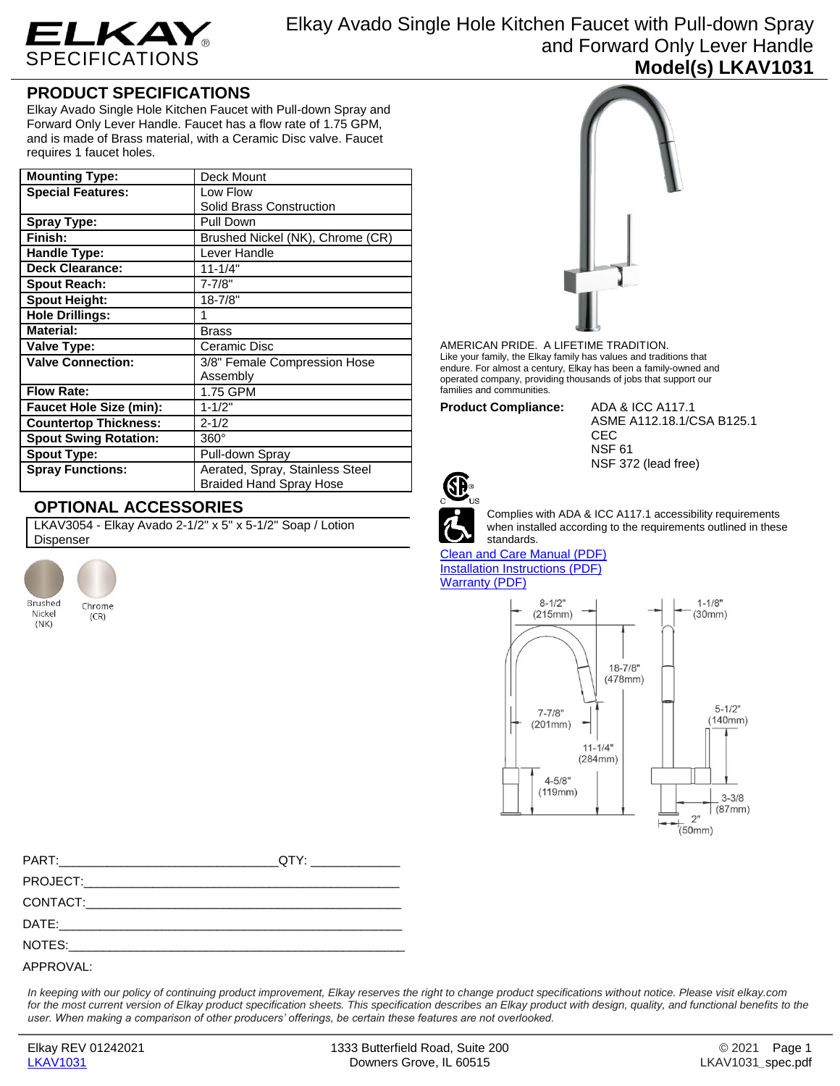

Elkay Avado Single Hole Kitchen Faucet with Pull-down Spray and Forward Only Lever Handle **Model(s) LKAV1031**

## **PRODUCT SPECIFICATIONS**

Elkay Avado Single Hole Kitchen Faucet with Pull-down Spray and Forward Only Lever Handle. Faucet has a flow rate of 1.75 GPM, and is made of Brass material, with a Ceramic Disc valve. Faucet requires 1 faucet holes.

| <b>Mounting Type:</b>          | Deck Mount                                                        |  |
|--------------------------------|-------------------------------------------------------------------|--|
| <b>Special Features:</b>       | Low Flow                                                          |  |
|                                | Solid Brass Construction                                          |  |
| <b>Spray Type:</b>             | Pull Down                                                         |  |
| Finish:                        | Brushed Nickel (NK), Chrome (CR)                                  |  |
| Handle Type:                   | Lever Handle                                                      |  |
| <b>Deck Clearance:</b>         | $11 - 1/4"$                                                       |  |
| <b>Spout Reach:</b>            | $7 - 7/8"$                                                        |  |
| <b>Spout Height:</b>           | $18 - 7/8"$                                                       |  |
| <b>Hole Drillings:</b>         | 1                                                                 |  |
| <b>Material:</b>               | Brass                                                             |  |
| Valve Type:                    | Ceramic Disc                                                      |  |
| <b>Valve Connection:</b>       | 3/8" Female Compression Hose                                      |  |
|                                | Assembly                                                          |  |
| <b>Flow Rate:</b>              | 1.75 GPM                                                          |  |
| <b>Faucet Hole Size (min):</b> | $1 - 1/2"$                                                        |  |
| <b>Countertop Thickness:</b>   | $2 - 1/2$                                                         |  |
| <b>Spout Swing Rotation:</b>   | $360^\circ$                                                       |  |
| <b>Spout Type:</b>             | Pull-down Spray                                                   |  |
| <b>Spray Functions:</b>        | Aerated, Spray, Stainless Steel<br><b>Braided Hand Spray Hose</b> |  |

## **OPTIONAL ACCESSORIES**

LKAV3054 - Elkay Avado 2-1/2" x 5" x 5-1/2" Soap / Lotion Dispenser





AMERICAN PRIDE. A LIFETIME TRADITION. Like your family, the Elkay family has values and traditions that endure. For almost a century, Elkay has been a family-owned and operated company, providing thousands of jobs that support our families and communities.

**Product Compliance:** ADA & ICC A117.1

ASME A112.18.1/CSA B125.1 CEC NSF 61 NSF 372 (lead free)



Complies with ADA & ICC A117.1 accessibility requirements when installed according to the requirements outlined in these standards.

[Clean and Care Manual \(PDF\)](http://www.elkayfiles.com/care-cleaning-install-warranty-sheets/1000005365.pdf) [Installation Instructions \(PDF\)](http://www.elkayfiles.com/care-cleaning-install-warranty-sheets/lkav1031_lklfav1031.pdf) [Warranty](http://www.elkayfiles.com/care-cleaning-install-warranty-sheets/1000005132.pdf) (PDF)



*In keeping with our policy of continuing product improvement, Elkay reserves the right to change product specifications without notice. Please visit elkay.com*  for the most current version of Elkay product specification sheets. This specification describes an Elkay product with design, quality, and functional benefits to the *user. When making a comparison of other producers' offerings, be certain these features are not overlooked.*